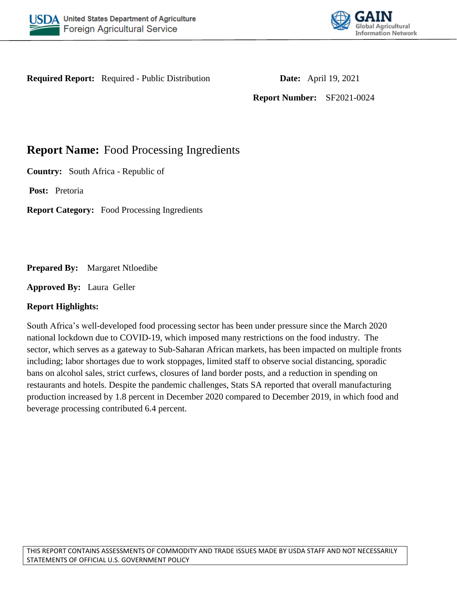



**Required Report:** Required - Public Distribution **Date:** April 19, 2021

**Report Number:** SF2021-0024

# **Report Name:** Food Processing Ingredients

**Country:** South Africa - Republic of

**Post:** Pretoria

**Report Category:** Food Processing Ingredients

**Prepared By:** Margaret Ntloedibe

**Approved By:** Laura Geller

# **Report Highlights:**

South Africa's well-developed food processing sector has been under pressure since the March 2020 national lockdown due to COVID-19, which imposed many restrictions on the food industry. The sector, which serves as a gateway to Sub-Saharan African markets, has been impacted on multiple fronts including; labor shortages due to work stoppages, limited staff to observe social distancing, sporadic bans on alcohol sales, strict curfews, closures of land border posts, and a reduction in spending on restaurants and hotels. Despite the pandemic challenges, Stats SA reported that overall manufacturing production increased by 1.8 percent in December 2020 compared to December 2019, in which food and beverage processing contributed 6.4 percent.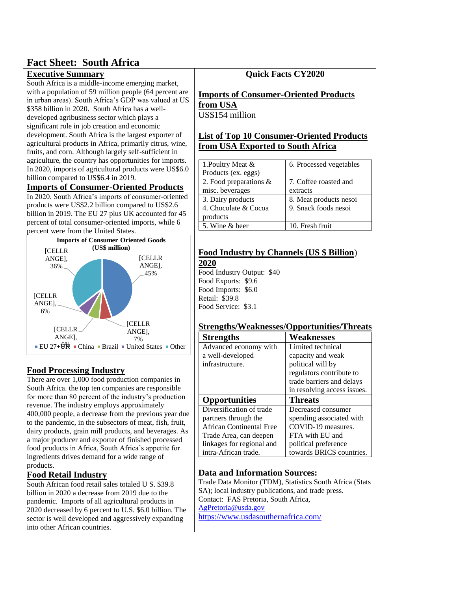# **Fact Sheet: South Africa**

# **Executive Summary**

South Africa is a middle-income emerging market, with a population of 59 million people (64 percent are in urban areas). South Africa's GDP was valued at US \$358 billion in 2020. South Africa has a welldeveloped agribusiness sector which plays a significant role in job creation and economic development. South Africa is the largest exporter of agricultural products in Africa, primarily citrus, wine, fruits, and corn. Although largely self-sufficient in agriculture, the country has opportunities for imports. In 2020, imports of agricultural products were US\$6.0 billion compared to US\$6.4 in 2019.

# **Imports of Consumer-Oriented Products**

In 2020, South Africa's imports of consumer-oriented products were US\$2.2 billion compared to US\$2.6 billion in 2019. The EU 27 plus UK accounted for 45 percent of total consumer-oriented imports, while 6 percent were from the United States.



# **Food Processing Industry**

There are over 1,000 food production companies in South Africa. the top ten companies are responsible for more than 80 percent of the industry's production revenue. The industry employs approximately 400,000 people, a decrease from the previous year due to the pandemic, in the subsectors of meat, fish, fruit, dairy products, grain mill products, and beverages. As a major producer and exporter of finished processed food products in Africa, South Africa's appetite for ingredients drives demand for a wide range of products.

# **Food Retail Industry**

South African food retail sales totaled U S. \$39.8 billion in 2020 a decrease from 2019 due to the pandemic. Imports of all agricultural products in 2020 decreased by 6 percent to U.S. \$6.0 billion. The sector is well developed and aggressively expanding into other African countries.

# **Quick Facts CY2020**

#### **Imports of Consumer-Oriented Products from USA** US\$154 million

# **List of Top 10 Consumer-Oriented Products from USA Exported to South Africa**

| 1. Poultry Meat &         | 6. Processed vegetables |
|---------------------------|-------------------------|
| Products (ex. eggs)       |                         |
| 2. Food preparations $\&$ | 7. Coffee roasted and   |
| misc. beverages           | extracts                |
| 3. Dairy products         | 8. Meat products nesoi  |
| 4. Chocolate & Cocoa      | 9. Snack foods nesoi    |
| products                  |                         |
| 5. Wine & beer            | 10. Fresh fruit         |

#### **Food Industry by Channels (US \$ Billion**) **2020**

Food Industry Output: \$40 Food Exports: \$9.6 Food Imports: \$6.0 Retail: \$39.8 Food Service: \$3.1

# **Strengths/Weaknesses/Opportunities/Threats**

| <b>Strengths</b>          | Weaknesses                  |
|---------------------------|-----------------------------|
| Advanced economy with     | Limited technical           |
| a well-developed          | capacity and weak           |
| infrastructure.           | political will by           |
|                           | regulators contribute to    |
|                           | trade barriers and delays   |
|                           | in resolving access issues. |
| <b>Opportunities</b>      | <b>Threats</b>              |
| Diversification of trade  | Decreased consumer          |
| partners through the      | spending associated with    |
| African Continental Free  | COVID-19 measures.          |
| Trade Area, can deepen    | FTA with EU and             |
| linkages for regional and | political preference        |
| intra-African trade.      | towards BRICS countries.    |

# **Data and Information Sources:**

Trade Data Monitor (TDM), Statistics South Africa (Stats SA); local industry publications, and trade press. Contact: FAS Pretoria, South Africa, [AgPretoria@usda.gov](mailto:AgPretoria@usda.gov) <https://www.usdasouthernafrica.com/>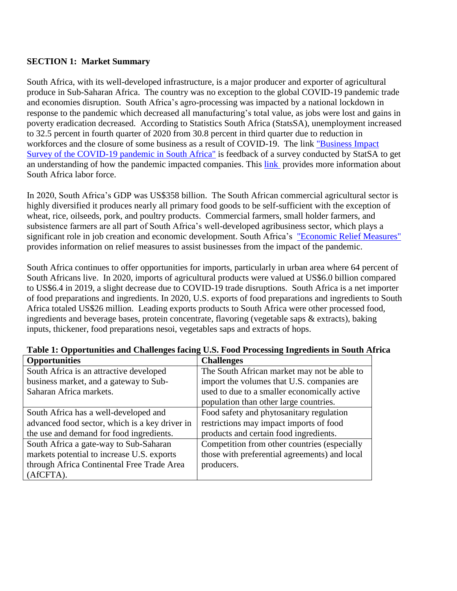# **SECTION 1: Market Summary**

South Africa, with its well-developed infrastructure, is a major producer and exporter of agricultural produce in Sub-Saharan Africa. The country was no exception to the global COVID-19 pandemic trade and economies disruption. South Africa's agro-processing was impacted by a national lockdown in response to the pandemic which decreased all manufacturing's total value, as jobs were lost and gains in poverty eradication decreased. According to Statistics South Africa (StatsSA), unemployment increased to 32.5 percent in fourth quarter of 2020 from 30.8 percent in third quarter due to reduction in workforces and the closure of some business as a result of COVID-19. The link "Business Impact" [Survey of the COVID-19 pandemic in South Africa"](http://www.statssa.gov.za/publications/Report-00-80-01/Report-00-80-01April2020.pdf) is feedback of a survey conducted by StatSA to get an understanding of how the pandemic impacted companies. This [link](http://www.statssa.gov.za/publications/P0211/P02114thQuarter2020.pdf) provides more information about South Africa labor force.

In 2020, South Africa's GDP was US\$358 billion. The South African commercial agricultural sector is highly diversified it produces nearly all primary food goods to be self-sufficient with the exception of wheat, rice, oilseeds, pork, and poultry products. Commercial farmers, small holder farmers, and subsistence farmers are all part of South Africa's well-developed agribusiness sector, which plays a significant role in job creation and economic development. South Africa's "Economic Relief Measures" provides information on relief measures to assist businesses from the impact of the pandemic.

South Africa continues to offer opportunities for imports, particularly in urban area where 64 percent of South Africans live. In 2020, imports of agricultural products were valued at US\$6.0 billion compared to US\$6.4 in 2019, a slight decrease due to COVID-19 trade disruptions. South Africa is a net importer of food preparations and ingredients. In 2020, U.S. exports of food preparations and ingredients to South Africa totaled US\$26 million. Leading exports products to South Africa were other processed food, ingredients and beverage bases, protein concentrate, flavoring (vegetable saps & extracts), baking inputs, thickener, food preparations nesoi, vegetables saps and extracts of hops.

| <b>Opportunities</b>                           | <b>Challenges</b>                             |
|------------------------------------------------|-----------------------------------------------|
| South Africa is an attractive developed        | The South African market may not be able to   |
| business market, and a gateway to Sub-         | import the volumes that U.S. companies are    |
| Saharan Africa markets.                        | used to due to a smaller economically active  |
|                                                | population than other large countries.        |
| South Africa has a well-developed and          | Food safety and phytosanitary regulation      |
| advanced food sector, which is a key driver in | restrictions may impact imports of food       |
| the use and demand for food ingredients.       | products and certain food ingredients.        |
| South Africa a gate-way to Sub-Saharan         | Competition from other countries (especially  |
| markets potential to increase U.S. exports     | those with preferential agreements) and local |
| through Africa Continental Free Trade Area     | producers.                                    |
| (AfCFTA).                                      |                                               |

#### **Table 1: Opportunities and Challenges facing U.S. Food Processing Ingredients in South Africa**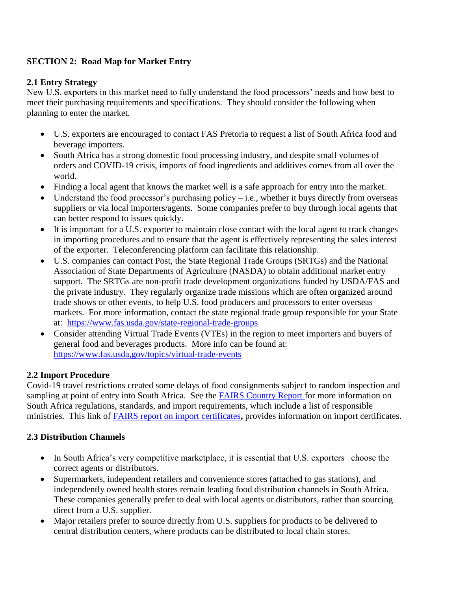# **SECTION 2: Road Map for Market Entry**

# **2.1 Entry Strategy**

New U.S. exporters in this market need to fully understand the food processors' needs and how best to meet their purchasing requirements and specifications. They should consider the following when planning to enter the market.

- U.S. exporters are encouraged to contact FAS Pretoria to request a list of South Africa food and beverage importers.
- South Africa has a strong domestic food processing industry, and despite small volumes of orders and COVID-19 crisis, imports of food ingredients and additives comes from all over the world.
- Finding a local agent that knows the market well is a safe approach for entry into the market.
- Understand the food processor's purchasing policy  $-$  i.e., whether it buys directly from overseas suppliers or via local importers/agents. Some companies prefer to buy through local agents that can better respond to issues quickly.
- It is important for a U.S. exporter to maintain close contact with the local agent to track changes in importing procedures and to ensure that the agent is effectively representing the sales interest of the exporter. Teleconferencing platform can facilitate this relationship.
- U.S. companies can contact Post, the State Regional Trade Groups (SRTGs) and the National Association of State Departments of Agriculture (NASDA) to obtain additional market entry support. The SRTGs are non-profit trade development organizations funded by USDA/FAS and the private industry. They regularly organize trade missions which are often organized around trade shows or other events, to help U.S. food producers and processors to enter overseas markets. For more information, contact the state regional trade group responsible for your State at: <https://www.fas.usda.gov/state-regional-trade-groups>
- Consider attending Virtual Trade Events (VTEs) in the region to meet importers and buyers of general food and beverages products. More info can be found at: [https://www.fas.usda,gov/topics/virtual-trade-events](http://mailto-are-you-the-problem/)

# **2.2 Import Procedure**

Covid-19 travel restrictions created some delays of food consignments subject to random inspection and sampling at point of entry into South Africa. See the [FAIRS Country Report f](https://apps.fas.usda.gov/newgainapi/api/Report/DownloadReportByFileName?fileName=Food%20and%20Agricultural%20Import%20Regulations%20and%20Standards%20Country%20Report_Pretoria_South%20Africa%20-%20Republic%20of_09-30-2020)or more information on South Africa regulations, standards, and import requirements, which include a list of responsible ministries. This link of [FAIRS report on import certificates](https://apps.fas.usda.gov/newgainapi/api/Report/DownloadReportByFileName?fileName=Food%20and%20Agricultural%20Import%20Regulations%20and%20Standards%20Export%20Certificate%20Report_Pretoria_South%20Africa%20-%20Republic%20of_09-30-2020)**,** provides information on import certificates.

# **2.3 Distribution Channels**

- In South Africa's very competitive marketplace, it is essential that U.S. exporters choose the correct agents or distributors.
- Supermarkets, independent retailers and convenience stores (attached to gas stations), and independently owned health stores remain leading food distribution channels in South Africa. These companies generally prefer to deal with local agents or distributors, rather than sourcing direct from a U.S. supplier.
- Major retailers prefer to source directly from U.S. suppliers for products to be delivered to central distribution centers, where products can be distributed to local chain stores.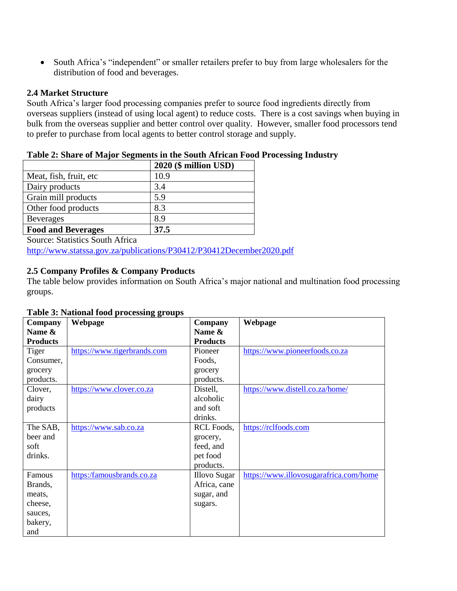South Africa's "independent" or smaller retailers prefer to buy from large wholesalers for the distribution of food and beverages.

#### **2.4 Market Structure**

South Africa's larger food processing companies prefer to source food ingredients directly from overseas suppliers (instead of using local agent) to reduce costs. There is a cost savings when buying in bulk from the overseas supplier and better control over quality. However, smaller food processors tend to prefer to purchase from local agents to better control storage and supply.

#### **Table 2: Share of Major Segments in the South African Food Processing Industry**

|                           | 2020 (\$ million USD) |
|---------------------------|-----------------------|
| Meat, fish, fruit, etc.   | 10.9                  |
| Dairy products            | 3.4                   |
| Grain mill products       | 5.9                   |
| Other food products       | 8.3                   |
| <b>Beverages</b>          | 8.9                   |
| <b>Food and Beverages</b> | 37.5                  |

Source: Statistics South Africa

<http://www.statssa.gov.za/publications/P30412/P30412December2020.pdf>

# **2.5 Company Profiles & Company Products**

The table below provides information on South Africa's major national and multination food processing groups.

#### **Table 3: National food processing groups**

| Company         | Webpage                     | Company             | Webpage                                |
|-----------------|-----------------------------|---------------------|----------------------------------------|
| Name &          |                             | Name &              |                                        |
| <b>Products</b> |                             | <b>Products</b>     |                                        |
| Tiger           | https://www.tigerbrands.com | Pioneer             | https://www.pioneerfoods.co.za         |
| Consumer,       |                             | Foods,              |                                        |
| grocery         |                             | grocery             |                                        |
| products.       |                             | products.           |                                        |
| Clover,         | https://www.clover.co.za    | Distell,            | https://www.distell.co.za/home/        |
| dairy           |                             | alcoholic           |                                        |
| products        |                             | and soft            |                                        |
|                 |                             | drinks.             |                                        |
| The SAB,        | https://www.sab.co.za       | RCL Foods,          | https://rclfoods.com                   |
| beer and        |                             | grocery,            |                                        |
| soft            |                             | feed, and           |                                        |
| drinks.         |                             | pet food            |                                        |
|                 |                             | products.           |                                        |
| Famous          | https:/famousbrands.co.za   | <b>Illovo Sugar</b> | https://www.illovosugarafrica.com/home |
| Brands,         |                             | Africa, cane        |                                        |
| meats,          |                             | sugar, and          |                                        |
| cheese,         |                             | sugars.             |                                        |
| sauces,         |                             |                     |                                        |
| bakery,         |                             |                     |                                        |
| and             |                             |                     |                                        |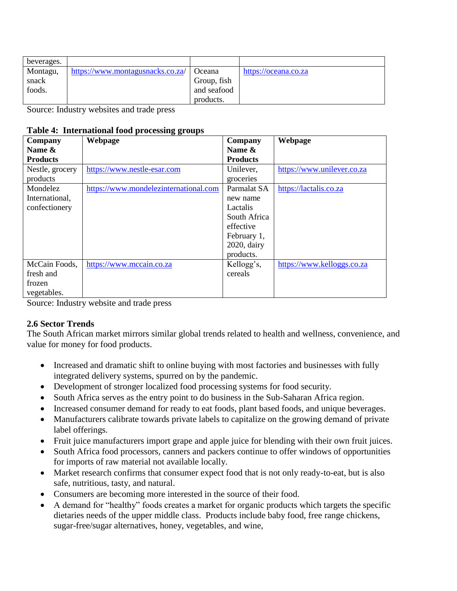| beverages. |                                  |               |                      |
|------------|----------------------------------|---------------|----------------------|
| Montagu,   | https://www.montagusnacks.co.za/ | <b>Oceana</b> | https://oceana.co.za |
| snack      |                                  | Group, fish   |                      |
| foods.     |                                  | and seafood   |                      |
|            |                                  | products.     |                      |

Source: Industry websites and trade press

#### **Table 4: International food processing groups**

| Company         | Webpage                               | Company         | Webpage                    |
|-----------------|---------------------------------------|-----------------|----------------------------|
| Name &          |                                       | Name &          |                            |
| <b>Products</b> |                                       | <b>Products</b> |                            |
| Nestle, grocery | https://www.nestle-esar.com           | Unilever,       | https://www.unilever.co.za |
| products        |                                       | groceries       |                            |
| Mondelez        | https://www.mondelezinternational.com | Parmalat SA     | https://lactalis.co.za     |
| International,  |                                       | new name        |                            |
| confectionery   |                                       | Lactalis        |                            |
|                 |                                       | South Africa    |                            |
|                 |                                       | effective       |                            |
|                 |                                       | February 1,     |                            |
|                 |                                       | 2020, dairy     |                            |
|                 |                                       | products.       |                            |
| McCain Foods,   | https://www.mccain.co.za              | Kellogg's,      | https://www.kelloggs.co.za |
| fresh and       |                                       | cereals         |                            |
| frozen          |                                       |                 |                            |
| vegetables.     |                                       |                 |                            |

Source: Industry website and trade press

# **2.6 Sector Trends**

The South African market mirrors similar global trends related to health and wellness, convenience, and value for money for food products.

- Increased and dramatic shift to online buying with most factories and businesses with fully integrated delivery systems, spurred on by the pandemic.
- Development of stronger localized food processing systems for food security.
- South Africa serves as the entry point to do business in the Sub-Saharan Africa region.
- Increased consumer demand for ready to eat foods, plant based foods, and unique beverages.
- Manufacturers calibrate towards private labels to capitalize on the growing demand of private label offerings.
- Fruit juice manufacturers import grape and apple juice for blending with their own fruit juices.
- South Africa food processors, canners and packers continue to offer windows of opportunities for imports of raw material not available locally.
- Market research confirms that consumer expect food that is not only ready-to-eat, but is also safe, nutritious, tasty, and natural.
- Consumers are becoming more interested in the source of their food.
- A demand for "healthy" foods creates a market for organic products which targets the specific dietaries needs of the upper middle class. Products include baby food, free range chickens, sugar-free/sugar alternatives, honey, vegetables, and wine,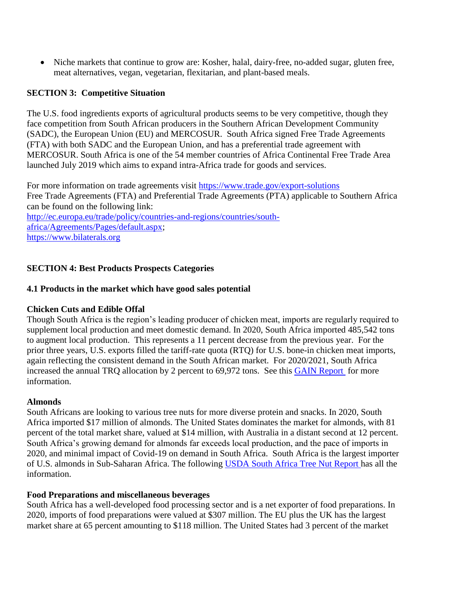Niche markets that continue to grow are: Kosher, halal, dairy-free, no-added sugar, gluten free, meat alternatives, vegan, vegetarian, flexitarian, and plant-based meals.

#### **SECTION 3: Competitive Situation**

The U.S. food ingredients exports of agricultural products seems to be very competitive, though they face competition from South African producers in the Southern African Development Community (SADC), the European Union (EU) and MERCOSUR. South Africa signed Free Trade Agreements (FTA) with both SADC and the European Union, and has a preferential trade agreement with MERCOSUR. South Africa is one of the 54 member countries of Africa Continental Free Trade Area launched July 2019 which aims to expand intra-Africa trade for goods and services.

For more information on trade agreements visit<https://www.trade.gov/export-solutions> Free Trade Agreements (FTA) and Preferential Trade Agreements (PTA) applicable to Southern Africa can be found on the following link:

[http://ec.europa.eu/trade/policy/countries-and-regions/countries/south](http://ec.europa.eu/trade/policy/countries-and-regions/countries/south-africa/Agreements/Pages/default.aspx)[africa/Agreements/Pages/default.aspx;](http://ec.europa.eu/trade/policy/countries-and-regions/countries/south-africa/Agreements/Pages/default.aspx) [https://www.bilaterals.org](https://www.bilaterals.org/)

# **SECTION 4: Best Products Prospects Categories**

#### **4.1 Products in the market which have good sales potential**

# **Chicken Cuts and Edible Offal**

Though South Africa is the region's leading producer of chicken meat, imports are regularly required to supplement local production and meet domestic demand. In 2020, South Africa imported 485,542 tons to augment local production. This represents a 11 percent decrease from the previous year. For the prior three years, U.S. exports filled the tariff-rate quota (RTQ) for U.S. bone-in chicken meat imports, again reflecting the consistent demand in the South African market. For 2020/2021, South Africa increased the annual TRQ allocation by 2 percent to 69,972 tons. See this [GAIN Report](https://apps.fas.usda.gov/newgainapi/api/Report/DownloadReportByFileName?fileName=Poultry%20and%20Products%20Annual_Pretoria_South%20Africa%20-%20Republic%20of_09-01-2020) for more information.

#### **Almonds**

South Africans are looking to various tree nuts for more diverse protein and snacks. In 2020, South Africa imported \$17 million of almonds. The United States dominates the market for almonds, with 81 percent of the total market share, valued at \$14 million, with Australia in a distant second at 12 percent. South Africa's growing demand for almonds far exceeds local production, and the pace of imports in 2020, and minimal impact of Covid-19 on demand in South Africa. South Africa is the largest importer of U.S. almonds in Sub-Saharan Africa. The following [USDA South Africa Tree Nut Report h](https://apps.fas.usda.gov/newgainapi/api/Report/DownloadReportByFileName?fileName=Positive%20Outlook%20for%20South%20African%20Tree%20Nut%20Production%20and%20Trade_Pretoria_South%20Africa%20-%20Republic%20of_06-15-2020)as all the information.

# **Food Preparations and miscellaneous beverages**

South Africa has a well-developed food processing sector and is a net exporter of food preparations. In 2020, imports of food preparations were valued at \$307 million. The EU plus the UK has the largest market share at 65 percent amounting to \$118 million. The United States had 3 percent of the market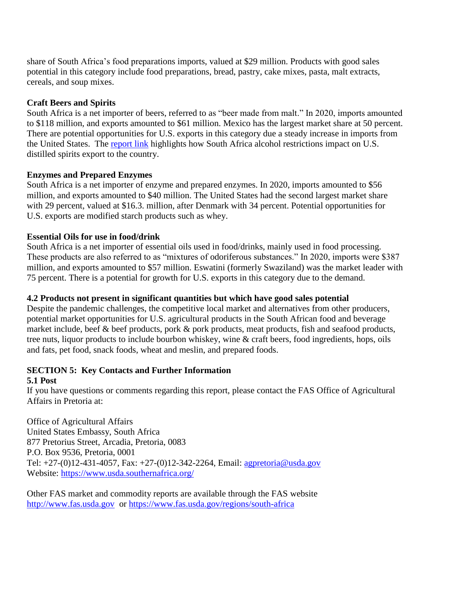share of South Africa's food preparations imports, valued at \$29 million. Products with good sales potential in this category include food preparations, bread, pastry, cake mixes, pasta, malt extracts, cereals, and soup mixes.

# **Craft Beers and Spirits**

South Africa is a net importer of beers, referred to as "beer made from malt." In 2020, imports amounted to \$118 million, and exports amounted to \$61 million. Mexico has the largest market share at 50 percent. There are potential opportunities for U.S. exports in this category due a steady increase in imports from the United States. The [report link](https://apps.fas.usda.gov/newgainapi/api/Report/DownloadReportByFileName?fileName=Alcohol%20Restrictions%20Cause%20United%20States%20Exports%20of%20Distilled%20Spirits%20to%20Lag_Pretoria_South%20Africa%20-%20Republic%20of_05-18-2020) highlights how South Africa alcohol restrictions impact on U.S. distilled spirits export to the country.

# **Enzymes and Prepared Enzymes**

South Africa is a net importer of enzyme and prepared enzymes. In 2020, imports amounted to \$56 million, and exports amounted to \$40 million. The United States had the second largest market share with 29 percent, valued at \$16.3. million, after Denmark with 34 percent. Potential opportunities for U.S. exports are modified starch products such as whey.

# **Essential Oils for use in food/drink**

South Africa is a net importer of essential oils used in food/drinks, mainly used in food processing. These products are also referred to as "mixtures of odoriferous substances." In 2020, imports were \$387 million, and exports amounted to \$57 million. Eswatini (formerly Swaziland) was the market leader with 75 percent. There is a potential for growth for U.S. exports in this category due to the demand.

# **4.2 Products not present in significant quantities but which have good sales potential**

Despite the pandemic challenges, the competitive local market and alternatives from other producers, potential market opportunities for U.S. agricultural products in the South African food and beverage market include, beef & beef products, pork & pork products, meat products, fish and seafood products, tree nuts, liquor products to include bourbon whiskey, wine & craft beers, food ingredients, hops, oils and fats, pet food, snack foods, wheat and meslin, and prepared foods.

# **SECTION 5: Key Contacts and Further Information**

# **5.1 Post**

If you have questions or comments regarding this report, please contact the FAS Office of Agricultural Affairs in Pretoria at:

Office of Agricultural Affairs United States Embassy, South Africa 877 Pretorius Street, Arcadia, Pretoria, 0083 P.O. Box 9536, Pretoria, 0001 Tel: +27-(0)12-431-4057, Fax: +27-(0)12-342-2264, Email: [agpretoria@usda.gov](mailto:agpretoria@usda.gov) Website:<https://www.usda.southernafrica.org/>

Other FAS market and commodity reports are available through the FAS website [http://www.fas.usda.gov](http://www.fas.usda.gov/) or<https://www.fas.usda.gov/regions/south-africa>